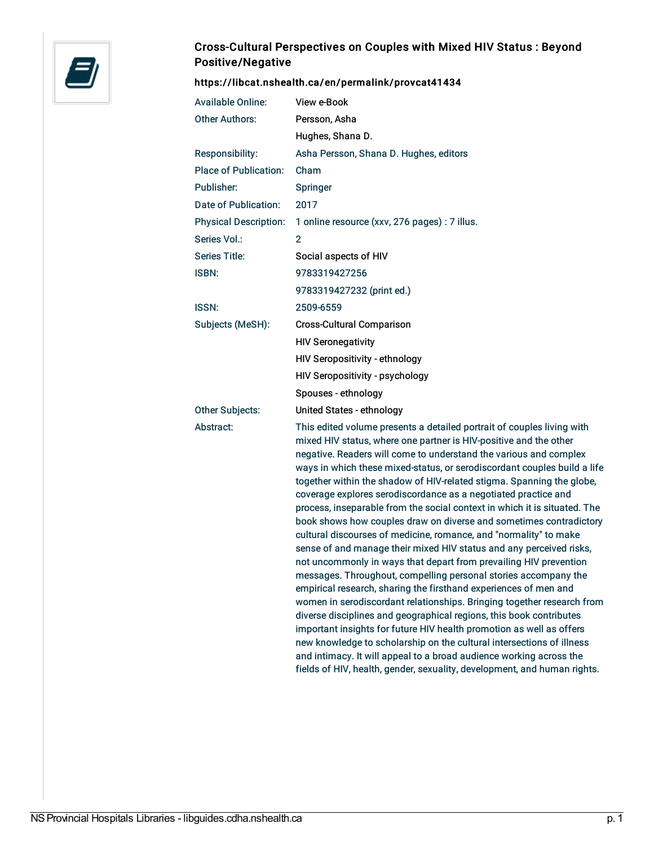

## Cross-Cultural Perspectives on Couples with Mixed HIV Status : Beyond Positive/Negative

#### <https://libcat.nshealth.ca/en/permalink/provcat41434>

| <b>Available Online:</b>     | View e-Book                                                                                                                                                                                                                                                                                                                                                                                                                                                                                                                                                                                                                                                                                                                                                                                                                                                                    |
|------------------------------|--------------------------------------------------------------------------------------------------------------------------------------------------------------------------------------------------------------------------------------------------------------------------------------------------------------------------------------------------------------------------------------------------------------------------------------------------------------------------------------------------------------------------------------------------------------------------------------------------------------------------------------------------------------------------------------------------------------------------------------------------------------------------------------------------------------------------------------------------------------------------------|
| <b>Other Authors:</b>        | Persson, Asha                                                                                                                                                                                                                                                                                                                                                                                                                                                                                                                                                                                                                                                                                                                                                                                                                                                                  |
|                              |                                                                                                                                                                                                                                                                                                                                                                                                                                                                                                                                                                                                                                                                                                                                                                                                                                                                                |
|                              | Hughes, Shana D.                                                                                                                                                                                                                                                                                                                                                                                                                                                                                                                                                                                                                                                                                                                                                                                                                                                               |
| Responsibility:              | Asha Persson, Shana D. Hughes, editors                                                                                                                                                                                                                                                                                                                                                                                                                                                                                                                                                                                                                                                                                                                                                                                                                                         |
| <b>Place of Publication:</b> | Cham                                                                                                                                                                                                                                                                                                                                                                                                                                                                                                                                                                                                                                                                                                                                                                                                                                                                           |
| Publisher:                   | Springer                                                                                                                                                                                                                                                                                                                                                                                                                                                                                                                                                                                                                                                                                                                                                                                                                                                                       |
| Date of Publication:         | 2017                                                                                                                                                                                                                                                                                                                                                                                                                                                                                                                                                                                                                                                                                                                                                                                                                                                                           |
| <b>Physical Description:</b> | 1 online resource (xxv, 276 pages) : 7 illus.                                                                                                                                                                                                                                                                                                                                                                                                                                                                                                                                                                                                                                                                                                                                                                                                                                  |
| Series Vol.:                 | $\overline{2}$                                                                                                                                                                                                                                                                                                                                                                                                                                                                                                                                                                                                                                                                                                                                                                                                                                                                 |
| Series Title:                | Social aspects of HIV                                                                                                                                                                                                                                                                                                                                                                                                                                                                                                                                                                                                                                                                                                                                                                                                                                                          |
| <b>ISBN:</b>                 | 9783319427256                                                                                                                                                                                                                                                                                                                                                                                                                                                                                                                                                                                                                                                                                                                                                                                                                                                                  |
|                              | 9783319427232 (print ed.)                                                                                                                                                                                                                                                                                                                                                                                                                                                                                                                                                                                                                                                                                                                                                                                                                                                      |
| <b>ISSN:</b>                 | 2509-6559                                                                                                                                                                                                                                                                                                                                                                                                                                                                                                                                                                                                                                                                                                                                                                                                                                                                      |
| Subjects (MeSH):             | <b>Cross-Cultural Comparison</b>                                                                                                                                                                                                                                                                                                                                                                                                                                                                                                                                                                                                                                                                                                                                                                                                                                               |
|                              | <b>HIV Seronegativity</b>                                                                                                                                                                                                                                                                                                                                                                                                                                                                                                                                                                                                                                                                                                                                                                                                                                                      |
|                              | HIV Seropositivity - ethnology                                                                                                                                                                                                                                                                                                                                                                                                                                                                                                                                                                                                                                                                                                                                                                                                                                                 |
|                              | HIV Seropositivity - psychology                                                                                                                                                                                                                                                                                                                                                                                                                                                                                                                                                                                                                                                                                                                                                                                                                                                |
|                              | Spouses - ethnology                                                                                                                                                                                                                                                                                                                                                                                                                                                                                                                                                                                                                                                                                                                                                                                                                                                            |
| <b>Other Subjects:</b>       | United States - ethnology                                                                                                                                                                                                                                                                                                                                                                                                                                                                                                                                                                                                                                                                                                                                                                                                                                                      |
| Abstract:                    | This edited volume presents a detailed portrait of couples living with<br>mixed HIV status, where one partner is HIV-positive and the other<br>negative. Readers will come to understand the various and complex<br>ways in which these mixed-status, or serodiscordant couples build a life<br>together within the shadow of HIV-related stigma. Spanning the globe,<br>coverage explores serodiscordance as a negotiated practice and<br>process, inseparable from the social context in which it is situated. The<br>book shows how couples draw on diverse and sometimes contradictory<br>cultural discourses of medicine, romance, and "normality" to make<br>sense of and manage their mixed HIV status and any perceived risks,<br>not uncommonly in ways that depart from prevailing HIV prevention<br>messages. Throughout, compelling personal stories accompany the |

empirical research, sharing the firsthand experiences of men and women in serodiscordant relationships. Bringing together research from diverse disciplines and geographical regions, this book contributes important insights for future HIV health promotion as well as offers new knowledge to scholarship on the cultural intersections of illness and intimacy. It will appeal to a broad audience working across the fields of HIV, health, gender, sexuality, development, and human rights.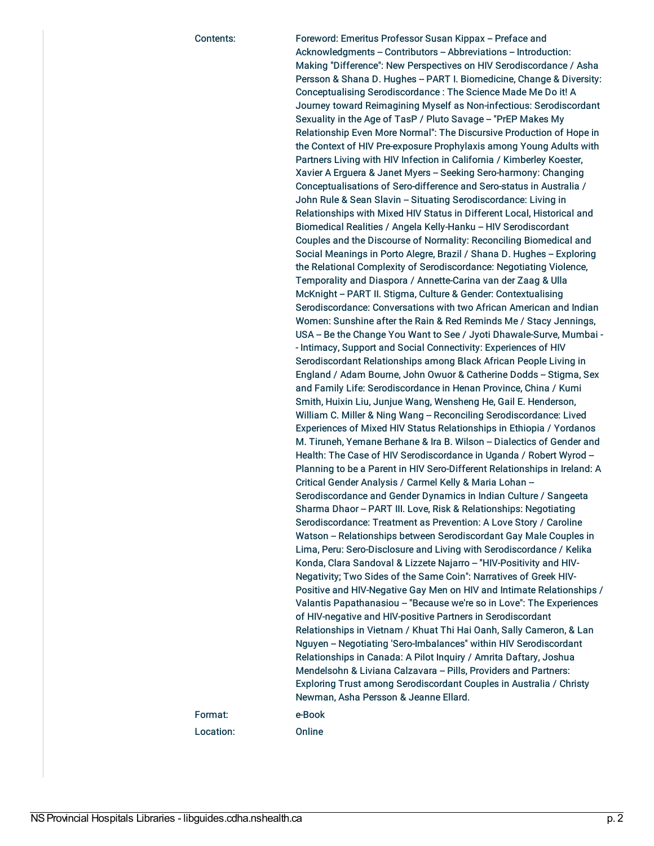Contents: Foreword: Emeritus Professor Susan Kippax -- Preface and Acknowledgments -- Contributors -- Abbreviations -- Introduction: Making "Difference": New Perspectives on HIV Serodiscordance / Asha Persson & Shana D. Hughes -- PART I. Biomedicine, Change & Diversity: Conceptualising Serodiscordance : The Science Made Me Do it! A Journey toward Reimagining Myself as Non-infectious: Serodiscordant Sexuality in the Age of TasP / Pluto Savage - "PrEP Makes My Relationship Even More Normal": The Discursive Production of Hope in the Context of HIV Pre-exposure Prophylaxis among Young Adults with Partners Living with HIV Infection in California / Kimberley Koester, Xavier A Erguera & Janet Myers - Seeking Sero-harmony: Changing Conceptualisations of Sero-difference and Sero-status in Australia / John Rule & Sean Slavin -- Situating Serodiscordance: Living in Relationships with Mixed HIV Status in Different Local, Historical and Biomedical Realities / Angela Kelly-Hanku -- HIV Serodiscordant Couples and the Discourse of Normality: Reconciling Biomedical and Social Meanings in Porto Alegre, Brazil / Shana D. Hughes -- Exploring the Relational Complexity of Serodiscordance: Negotiating Violence, Temporality and Diaspora / Annette-Carina van der Zaag & Ulla McKnight -- PART II. Stigma, Culture & Gender: Contextualising Serodiscordance: Conversations with two African American and Indian Women: Sunshine after the Rain & Red Reminds Me / Stacy Jennings, USA -- Be the Change You Want to See / Jyoti Dhawale-Surve, Mumbai - - Intimacy, Support and Social Connectivity: Experiences of HIV Serodiscordant Relationships among Black African People Living in England / Adam Bourne, John Owuor & Catherine Dodds - Stigma, Sex and Family Life: Serodiscordance in Henan Province, China / Kumi Smith, Huixin Liu, Junjue Wang, Wensheng He, Gail E. Henderson, William C. Miller & Ning Wang - Reconciling Serodiscordance: Lived Experiences of Mixed HIV Status Relationships in Ethiopia / Yordanos M. Tiruneh, Yemane Berhane & Ira B. Wilson - Dialectics of Gender and Health: The Case of HIV Serodiscordance in Uganda / Robert Wyrod --Planning to be a Parent in HIV Sero-Different Relationships in Ireland: A Critical Gender Analysis / Carmel Kelly & Maria Lohan -Serodiscordance and Gender Dynamics in Indian Culture / Sangeeta Sharma Dhaor -- PART III. Love, Risk & Relationships: Negotiating Serodiscordance: Treatment as Prevention: A Love Story / Caroline Watson - Relationships between Serodiscordant Gay Male Couples in Lima, Peru: Sero-Disclosure and Living with Serodiscordance / Kelika Konda, Clara Sandoval & Lizzete Najarro - "HIV-Positivity and HIV-Negativity; Two Sides of the Same Coin": Narratives of Greek HIV-Positive and HIV-Negative Gay Men on HIV and Intimate Relationships / Valantis Papathanasiou - "Because we're so in Love": The Experiences of HIV-negative and HIV-positive Partners in Serodiscordant Relationships in Vietnam / Khuat Thi Hai Oanh, Sally Cameron, & Lan Nguyen -- Negotiating 'Sero-Imbalances" within HIV Serodiscordant Relationships in Canada: A Pilot Inquiry / Amrita Daftary, Joshua Mendelsohn & Liviana Calzavara -- Pills, Providers and Partners: Exploring Trust among Serodiscordant Couples in Australia / Christy Newman, Asha Persson & Jeanne Ellard. Format: e-Book

Location: Online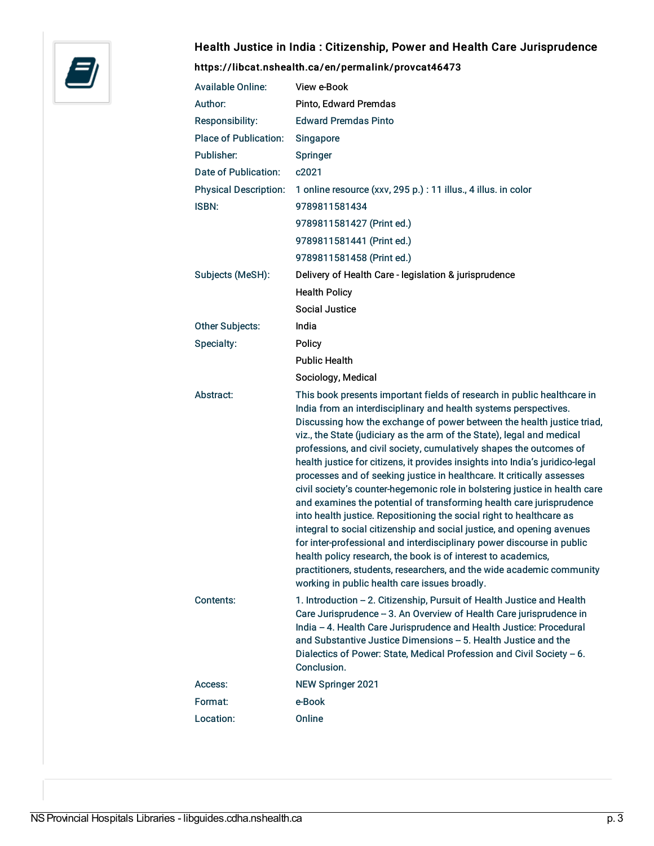

# Health Justice in India : Citizenship, Power and Health Care Jurisprudence

### <https://libcat.nshealth.ca/en/permalink/provcat46473>

| <b>Available Online:</b>     | View e-Book                                                                                                                                                                                                                                                                                                                                                                                                                                                                                                                                                                                                                                                                                                                                                                                                                                                                                                                                                                                                                                                                                                     |
|------------------------------|-----------------------------------------------------------------------------------------------------------------------------------------------------------------------------------------------------------------------------------------------------------------------------------------------------------------------------------------------------------------------------------------------------------------------------------------------------------------------------------------------------------------------------------------------------------------------------------------------------------------------------------------------------------------------------------------------------------------------------------------------------------------------------------------------------------------------------------------------------------------------------------------------------------------------------------------------------------------------------------------------------------------------------------------------------------------------------------------------------------------|
| Author:                      | Pinto, Edward Premdas                                                                                                                                                                                                                                                                                                                                                                                                                                                                                                                                                                                                                                                                                                                                                                                                                                                                                                                                                                                                                                                                                           |
| Responsibility:              | <b>Edward Premdas Pinto</b>                                                                                                                                                                                                                                                                                                                                                                                                                                                                                                                                                                                                                                                                                                                                                                                                                                                                                                                                                                                                                                                                                     |
| <b>Place of Publication:</b> | Singapore                                                                                                                                                                                                                                                                                                                                                                                                                                                                                                                                                                                                                                                                                                                                                                                                                                                                                                                                                                                                                                                                                                       |
| Publisher:                   | Springer                                                                                                                                                                                                                                                                                                                                                                                                                                                                                                                                                                                                                                                                                                                                                                                                                                                                                                                                                                                                                                                                                                        |
| Date of Publication:         | c2021                                                                                                                                                                                                                                                                                                                                                                                                                                                                                                                                                                                                                                                                                                                                                                                                                                                                                                                                                                                                                                                                                                           |
| <b>Physical Description:</b> | 1 online resource (xxv, 295 p.) : 11 illus., 4 illus. in color                                                                                                                                                                                                                                                                                                                                                                                                                                                                                                                                                                                                                                                                                                                                                                                                                                                                                                                                                                                                                                                  |
| <b>ISBN:</b>                 | 9789811581434                                                                                                                                                                                                                                                                                                                                                                                                                                                                                                                                                                                                                                                                                                                                                                                                                                                                                                                                                                                                                                                                                                   |
|                              | 9789811581427 (Print ed.)                                                                                                                                                                                                                                                                                                                                                                                                                                                                                                                                                                                                                                                                                                                                                                                                                                                                                                                                                                                                                                                                                       |
|                              | 9789811581441 (Print ed.)                                                                                                                                                                                                                                                                                                                                                                                                                                                                                                                                                                                                                                                                                                                                                                                                                                                                                                                                                                                                                                                                                       |
|                              | 9789811581458 (Print ed.)                                                                                                                                                                                                                                                                                                                                                                                                                                                                                                                                                                                                                                                                                                                                                                                                                                                                                                                                                                                                                                                                                       |
| Subjects (MeSH):             | Delivery of Health Care - legislation & jurisprudence                                                                                                                                                                                                                                                                                                                                                                                                                                                                                                                                                                                                                                                                                                                                                                                                                                                                                                                                                                                                                                                           |
|                              | <b>Health Policy</b>                                                                                                                                                                                                                                                                                                                                                                                                                                                                                                                                                                                                                                                                                                                                                                                                                                                                                                                                                                                                                                                                                            |
|                              | <b>Social Justice</b>                                                                                                                                                                                                                                                                                                                                                                                                                                                                                                                                                                                                                                                                                                                                                                                                                                                                                                                                                                                                                                                                                           |
| Other Subjects:              | India                                                                                                                                                                                                                                                                                                                                                                                                                                                                                                                                                                                                                                                                                                                                                                                                                                                                                                                                                                                                                                                                                                           |
| Specialty:                   | Policy                                                                                                                                                                                                                                                                                                                                                                                                                                                                                                                                                                                                                                                                                                                                                                                                                                                                                                                                                                                                                                                                                                          |
|                              | <b>Public Health</b>                                                                                                                                                                                                                                                                                                                                                                                                                                                                                                                                                                                                                                                                                                                                                                                                                                                                                                                                                                                                                                                                                            |
|                              | Sociology, Medical                                                                                                                                                                                                                                                                                                                                                                                                                                                                                                                                                                                                                                                                                                                                                                                                                                                                                                                                                                                                                                                                                              |
| Abstract:                    | This book presents important fields of research in public healthcare in<br>India from an interdisciplinary and health systems perspectives.<br>Discussing how the exchange of power between the health justice triad,<br>viz., the State (judiciary as the arm of the State), legal and medical<br>professions, and civil society, cumulatively shapes the outcomes of<br>health justice for citizens, it provides insights into India's juridico-legal<br>processes and of seeking justice in healthcare. It critically assesses<br>civil society's counter-hegemonic role in bolstering justice in health care<br>and examines the potential of transforming health care jurisprudence<br>into health justice. Repositioning the social right to healthcare as<br>integral to social citizenship and social justice, and opening avenues<br>for inter-professional and interdisciplinary power discourse in public<br>health policy research, the book is of interest to academics,<br>practitioners, students, researchers, and the wide academic community<br>working in public health care issues broadly. |
| Contents:                    | 1. Introduction - 2. Citizenship, Pursuit of Health Justice and Health<br>Care Jurisprudence - 3. An Overview of Health Care jurisprudence in<br>India - 4. Health Care Jurisprudence and Health Justice: Procedural<br>and Substantive Justice Dimensions - 5. Health Justice and the<br>Dialectics of Power: State, Medical Profession and Civil Society - 6.<br>Conclusion.                                                                                                                                                                                                                                                                                                                                                                                                                                                                                                                                                                                                                                                                                                                                  |
| Access:                      | <b>NEW Springer 2021</b>                                                                                                                                                                                                                                                                                                                                                                                                                                                                                                                                                                                                                                                                                                                                                                                                                                                                                                                                                                                                                                                                                        |
| Format:                      | e-Book                                                                                                                                                                                                                                                                                                                                                                                                                                                                                                                                                                                                                                                                                                                                                                                                                                                                                                                                                                                                                                                                                                          |
| Location:                    | Online                                                                                                                                                                                                                                                                                                                                                                                                                                                                                                                                                                                                                                                                                                                                                                                                                                                                                                                                                                                                                                                                                                          |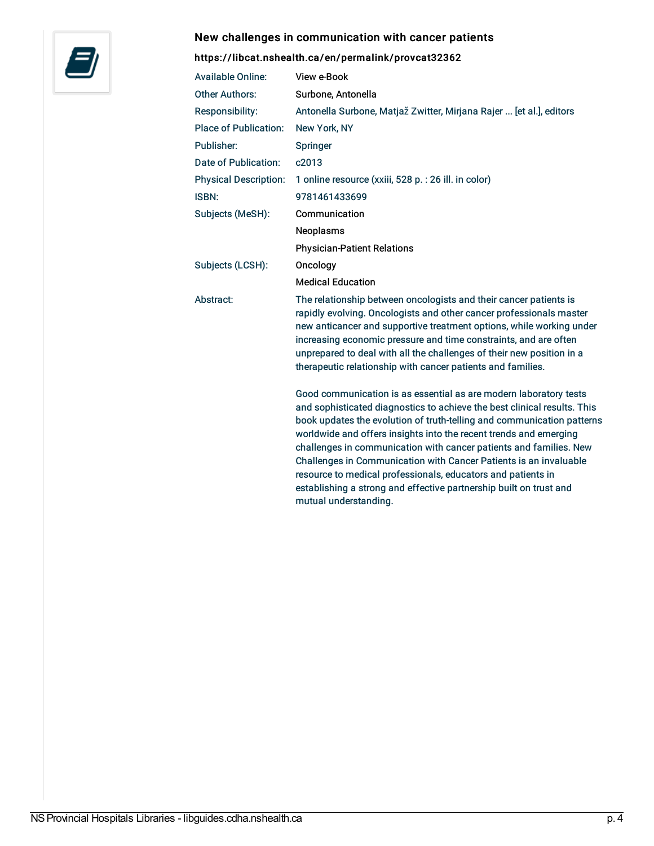### New challenges in communication with cancer patients



### <https://libcat.nshealth.ca/en/permalink/provcat32362>

| <b>Available Online:</b>     | View e-Book                                                                                                                                                                                                                                                                                                                                                                                                                                                                                                                                                                                            |
|------------------------------|--------------------------------------------------------------------------------------------------------------------------------------------------------------------------------------------------------------------------------------------------------------------------------------------------------------------------------------------------------------------------------------------------------------------------------------------------------------------------------------------------------------------------------------------------------------------------------------------------------|
| <b>Other Authors:</b>        | Surbone, Antonella                                                                                                                                                                                                                                                                                                                                                                                                                                                                                                                                                                                     |
| <b>Responsibility:</b>       | Antonella Surbone, Matjaž Zwitter, Mirjana Rajer  [et al.], editors                                                                                                                                                                                                                                                                                                                                                                                                                                                                                                                                    |
| <b>Place of Publication:</b> | New York, NY                                                                                                                                                                                                                                                                                                                                                                                                                                                                                                                                                                                           |
| Publisher:                   | Springer                                                                                                                                                                                                                                                                                                                                                                                                                                                                                                                                                                                               |
| Date of Publication:         | c2013                                                                                                                                                                                                                                                                                                                                                                                                                                                                                                                                                                                                  |
| <b>Physical Description:</b> | 1 online resource (xxiii, 528 p. : 26 ill. in color)                                                                                                                                                                                                                                                                                                                                                                                                                                                                                                                                                   |
| ISBN:                        | 9781461433699                                                                                                                                                                                                                                                                                                                                                                                                                                                                                                                                                                                          |
| Subjects (MeSH):             | Communication                                                                                                                                                                                                                                                                                                                                                                                                                                                                                                                                                                                          |
|                              | Neoplasms                                                                                                                                                                                                                                                                                                                                                                                                                                                                                                                                                                                              |
|                              | <b>Physician-Patient Relations</b>                                                                                                                                                                                                                                                                                                                                                                                                                                                                                                                                                                     |
| Subjects (LCSH):             | Oncology                                                                                                                                                                                                                                                                                                                                                                                                                                                                                                                                                                                               |
|                              | <b>Medical Education</b>                                                                                                                                                                                                                                                                                                                                                                                                                                                                                                                                                                               |
| Abstract:                    | The relationship between oncologists and their cancer patients is<br>rapidly evolving. Oncologists and other cancer professionals master<br>new anticancer and supportive treatment options, while working under<br>increasing economic pressure and time constraints, and are often<br>unprepared to deal with all the challenges of their new position in a<br>therapeutic relationship with cancer patients and families.                                                                                                                                                                           |
|                              | Good communication is as essential as are modern laboratory tests<br>and sophisticated diagnostics to achieve the best clinical results. This<br>book updates the evolution of truth-telling and communication patterns<br>worldwide and offers insights into the recent trends and emerging<br>challenges in communication with cancer patients and families. New<br>Challenges in Communication with Cancer Patients is an invaluable<br>resource to medical professionals, educators and patients in<br>establishing a strong and effective partnership built on trust and<br>mutual understanding. |